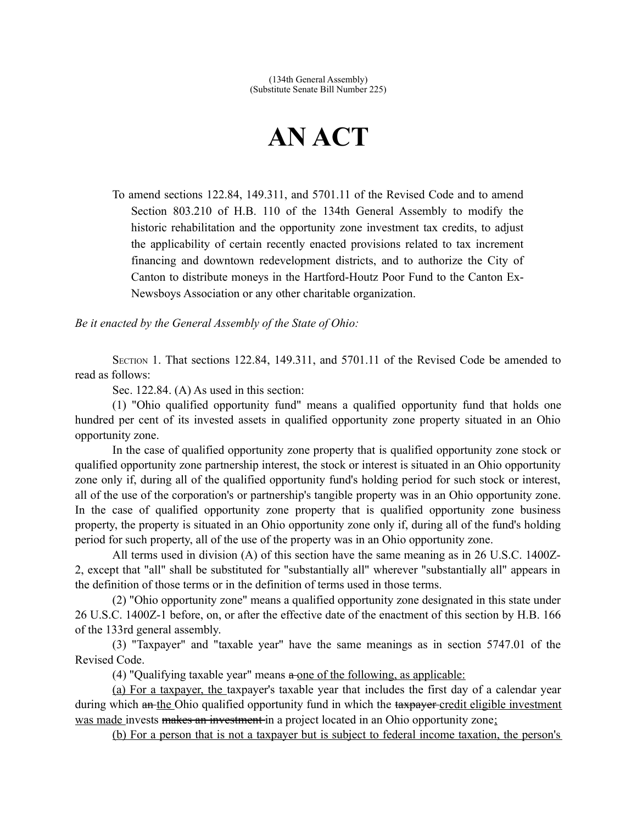## **AN ACT**

To amend sections 122.84, 149.311, and 5701.11 of the Revised Code and to amend Section 803.210 of H.B. 110 of the 134th General Assembly to modify the historic rehabilitation and the opportunity zone investment tax credits, to adjust the applicability of certain recently enacted provisions related to tax increment financing and downtown redevelopment districts, and to authorize the City of Canton to distribute moneys in the Hartford-Houtz Poor Fund to the Canton Ex-Newsboys Association or any other charitable organization.

*Be it enacted by the General Assembly of the State of Ohio:*

SECTION 1. That sections 122.84, 149.311, and 5701.11 of the Revised Code be amended to read as follows:

Sec. 122.84. (A) As used in this section:

(1) "Ohio qualified opportunity fund" means a qualified opportunity fund that holds one hundred per cent of its invested assets in qualified opportunity zone property situated in an Ohio opportunity zone.

In the case of qualified opportunity zone property that is qualified opportunity zone stock or qualified opportunity zone partnership interest, the stock or interest is situated in an Ohio opportunity zone only if, during all of the qualified opportunity fund's holding period for such stock or interest, all of the use of the corporation's or partnership's tangible property was in an Ohio opportunity zone. In the case of qualified opportunity zone property that is qualified opportunity zone business property, the property is situated in an Ohio opportunity zone only if, during all of the fund's holding period for such property, all of the use of the property was in an Ohio opportunity zone.

All terms used in division (A) of this section have the same meaning as in 26 U.S.C. 1400Z-2, except that "all" shall be substituted for "substantially all" wherever "substantially all" appears in the definition of those terms or in the definition of terms used in those terms.

(2) "Ohio opportunity zone" means a qualified opportunity zone designated in this state under 26 U.S.C. 1400Z-1 before, on, or after the effective date of the enactment of this section by H.B. 166 of the 133rd general assembly.

(3) "Taxpayer" and "taxable year" have the same meanings as in section 5747.01 of the Revised Code.

(4) "Qualifying taxable year" means  $a$ -one of the following, as applicable:

(a) For a taxpayer, the taxpayer's taxable year that includes the first day of a calendar year during which an the Ohio qualified opportunity fund in which the taxpayer credit eligible investment was made invests makes an investment in a project located in an Ohio opportunity zone;

(b) For a person that is not a taxpayer but is subject to federal income taxation, the person's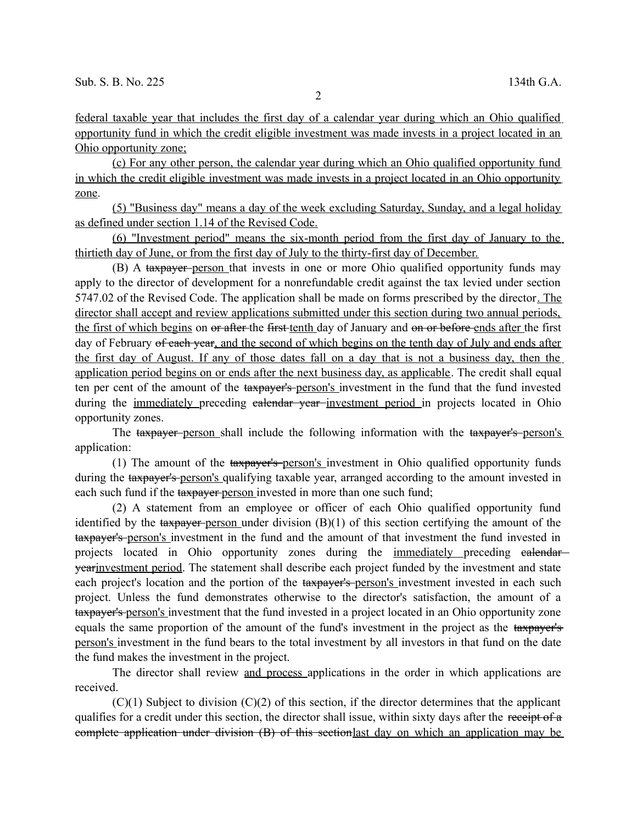federal taxable year that includes the first day of a calendar year during which an Ohio qualified opportunity fund in which the credit eligible investment was made invests in a project located in an Ohio opportunity zone;

(c) For any other person, the calendar year during which an Ohio qualified opportunity fund in which the credit eligible investment was made invests in a project located in an Ohio opportunity zone.

(5) "Business day" means a day of the week excluding Saturday, Sunday, and a legal holiday as defined under section 1.14 of the Revised Code.

(6) "Investment period" means the six-month period from the first day of January to the thirtieth day of June, or from the first day of July to the thirty-first day of December.

(B) A taxpayer person that invests in one or more Ohio qualified opportunity funds may apply to the director of development for a nonrefundable credit against the tax levied under section 5747.02 of the Revised Code. The application shall be made on forms prescribed by the director. The director shall accept and review applications submitted under this section during two annual periods, the first of which begins on or after the first tenth day of January and on or before ends after the first day of February of each year, and the second of which begins on the tenth day of July and ends after the first day of August. If any of those dates fall on a day that is not a business day, then the application period begins on or ends after the next business day, as applicable. The credit shall equal ten per cent of the amount of the taxpayer's person's investment in the fund that the fund invested during the immediately preceding calendar year investment period in projects located in Ohio opportunity zones.

The taxpayer person shall include the following information with the taxpayer's person's application:

(1) The amount of the taxpayer's person's investment in Ohio qualified opportunity funds during the taxpayer's person's qualifying taxable year, arranged according to the amount invested in each such fund if the taxpayer person invested in more than one such fund;

(2) A statement from an employee or officer of each Ohio qualified opportunity fund identified by the taxpayer person under division (B)(1) of this section certifying the amount of the taxpayer's person's investment in the fund and the amount of that investment the fund invested in projects located in Ohio opportunity zones during the immediately preceding calendar yearinvestment period. The statement shall describe each project funded by the investment and state each project's location and the portion of the taxpayer's person's investment invested in each such project. Unless the fund demonstrates otherwise to the director's satisfaction, the amount of a taxpayer's person's investment that the fund invested in a project located in an Ohio opportunity zone equals the same proportion of the amount of the fund's investment in the project as the taxpayer's person's investment in the fund bears to the total investment by all investors in that fund on the date the fund makes the investment in the project.

The director shall review and process applications in the order in which applications are received.

 $(C)(1)$  Subject to division  $(C)(2)$  of this section, if the director determines that the applicant qualifies for a credit under this section, the director shall issue, within sixty days after the receipt of a complete application under division (B) of this sectionlast day on which an application may be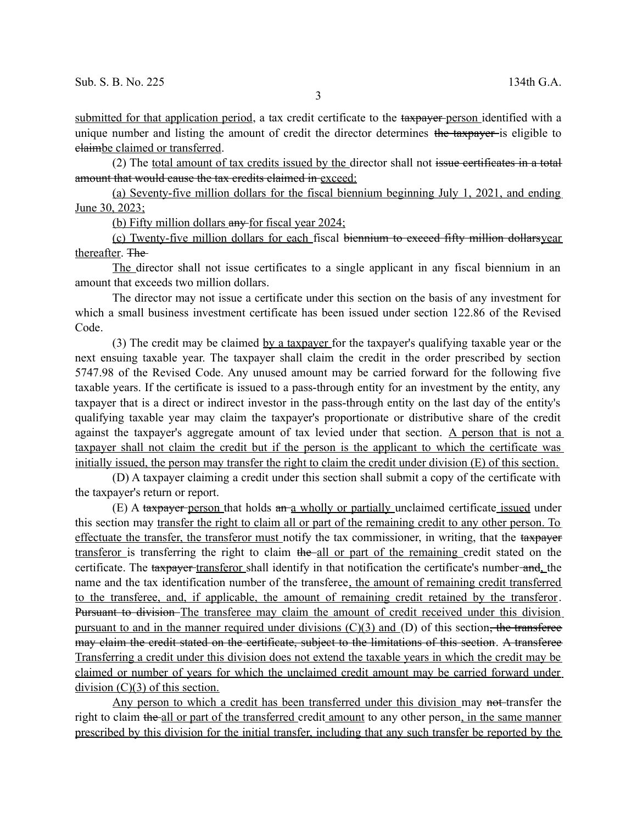submitted for that application period, a tax credit certificate to the taxpayer-person identified with a unique number and listing the amount of credit the director determines the taxpayer is eligible to claimbe claimed or transferred.

(2) The total amount of tax credits issued by the director shall not issue certificates in a total amount that would cause the tax credits claimed in exceed:

(a) Seventy-five million dollars for the fiscal biennium beginning July 1, 2021, and ending June 30, 2023;

(b) Fifty million dollars any for fiscal year 2024;

(c) Twenty-five million dollars for each fiscal biennium to exceed fifty million dollarsyear thereafter. The

The director shall not issue certificates to a single applicant in any fiscal biennium in an amount that exceeds two million dollars.

The director may not issue a certificate under this section on the basis of any investment for which a small business investment certificate has been issued under section 122.86 of the Revised Code.

(3) The credit may be claimed by a taxpayer for the taxpayer's qualifying taxable year or the next ensuing taxable year. The taxpayer shall claim the credit in the order prescribed by section 5747.98 of the Revised Code. Any unused amount may be carried forward for the following five taxable years. If the certificate is issued to a pass-through entity for an investment by the entity, any taxpayer that is a direct or indirect investor in the pass-through entity on the last day of the entity's qualifying taxable year may claim the taxpayer's proportionate or distributive share of the credit against the taxpayer's aggregate amount of tax levied under that section. A person that is not a taxpayer shall not claim the credit but if the person is the applicant to which the certificate was initially issued, the person may transfer the right to claim the credit under division (E) of this section.

(D) A taxpayer claiming a credit under this section shall submit a copy of the certificate with the taxpayer's return or report.

(E) A taxpayer person that holds an a wholly or partially unclaimed certificate issued under this section may transfer the right to claim all or part of the remaining credit to any other person. To effectuate the transfer, the transferor must notify the tax commissioner, in writing, that the taxpayer transferor is transferring the right to claim the all or part of the remaining credit stated on the certificate. The taxpayer transferor shall identify in that notification the certificate's number-and, the name and the tax identification number of the transferee, the amount of remaining credit transferred to the transferee, and, if applicable, the amount of remaining credit retained by the transferor. Pursuant to division–The transferee may claim the amount of credit received under this division pursuant to and in the manner required under divisions  $(C)(3)$  and  $(D)$  of this section, the transferee may claim the credit stated on the certificate, subject to the limitations of this section. A transferee Transferring a credit under this division does not extend the taxable years in which the credit may be claimed or number of years for which the unclaimed credit amount may be carried forward under division  $(C)(3)$  of this section.

Any person to which a credit has been transferred under this division may not-transfer the right to claim the all or part of the transferred credit amount to any other person, in the same manner prescribed by this division for the initial transfer, including that any such transfer be reported by the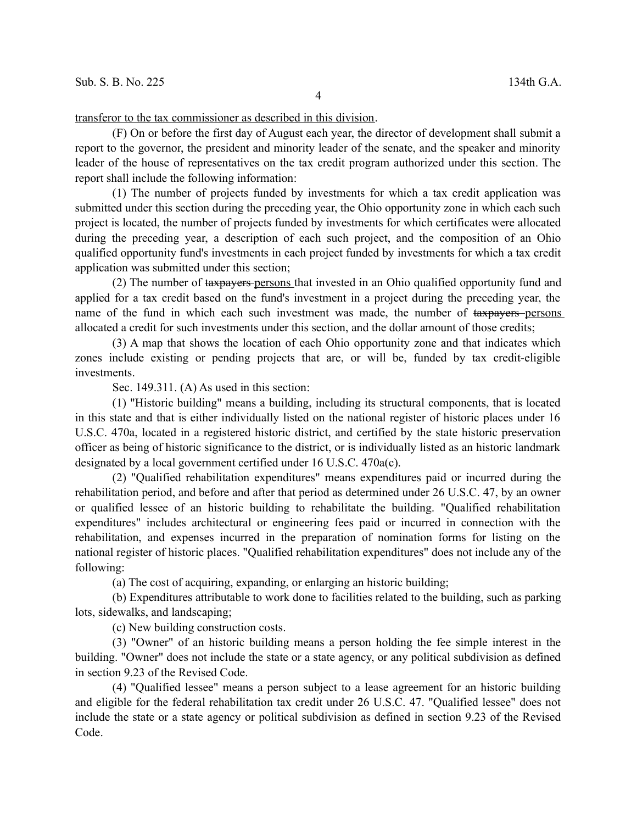transferor to the tax commissioner as described in this division.

(F) On or before the first day of August each year, the director of development shall submit a report to the governor, the president and minority leader of the senate, and the speaker and minority leader of the house of representatives on the tax credit program authorized under this section. The report shall include the following information:

(1) The number of projects funded by investments for which a tax credit application was submitted under this section during the preceding year, the Ohio opportunity zone in which each such project is located, the number of projects funded by investments for which certificates were allocated during the preceding year, a description of each such project, and the composition of an Ohio qualified opportunity fund's investments in each project funded by investments for which a tax credit application was submitted under this section;

(2) The number of taxpayers persons that invested in an Ohio qualified opportunity fund and applied for a tax credit based on the fund's investment in a project during the preceding year, the name of the fund in which each such investment was made, the number of taxpayers persons allocated a credit for such investments under this section, and the dollar amount of those credits;

(3) A map that shows the location of each Ohio opportunity zone and that indicates which zones include existing or pending projects that are, or will be, funded by tax credit-eligible investments.

Sec. 149.311. (A) As used in this section:

(1) "Historic building" means a building, including its structural components, that is located in this state and that is either individually listed on the national register of historic places under 16 U.S.C. 470a, located in a registered historic district, and certified by the state historic preservation officer as being of historic significance to the district, or is individually listed as an historic landmark designated by a local government certified under 16 U.S.C. 470a(c).

(2) "Qualified rehabilitation expenditures" means expenditures paid or incurred during the rehabilitation period, and before and after that period as determined under 26 U.S.C. 47, by an owner or qualified lessee of an historic building to rehabilitate the building. "Qualified rehabilitation expenditures" includes architectural or engineering fees paid or incurred in connection with the rehabilitation, and expenses incurred in the preparation of nomination forms for listing on the national register of historic places. "Qualified rehabilitation expenditures" does not include any of the following:

(a) The cost of acquiring, expanding, or enlarging an historic building;

(b) Expenditures attributable to work done to facilities related to the building, such as parking lots, sidewalks, and landscaping;

(c) New building construction costs.

(3) "Owner" of an historic building means a person holding the fee simple interest in the building. "Owner" does not include the state or a state agency, or any political subdivision as defined in section 9.23 of the Revised Code.

(4) "Qualified lessee" means a person subject to a lease agreement for an historic building and eligible for the federal rehabilitation tax credit under 26 U.S.C. 47. "Qualified lessee" does not include the state or a state agency or political subdivision as defined in section 9.23 of the Revised Code.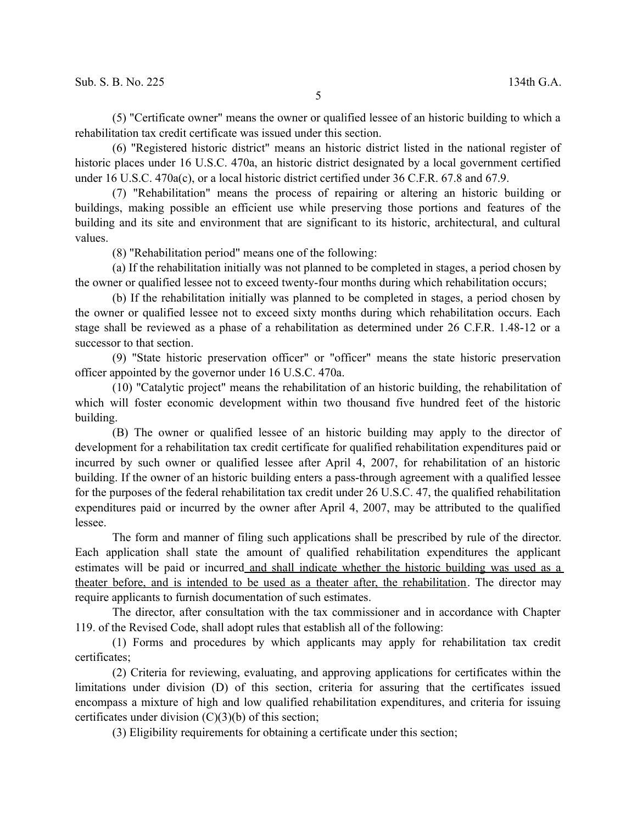(5) "Certificate owner" means the owner or qualified lessee of an historic building to which a rehabilitation tax credit certificate was issued under this section.

(6) "Registered historic district" means an historic district listed in the national register of historic places under 16 U.S.C. 470a, an historic district designated by a local government certified under 16 U.S.C. 470a(c), or a local historic district certified under 36 C.F.R. 67.8 and 67.9.

(7) "Rehabilitation" means the process of repairing or altering an historic building or buildings, making possible an efficient use while preserving those portions and features of the building and its site and environment that are significant to its historic, architectural, and cultural values.

(8) "Rehabilitation period" means one of the following:

(a) If the rehabilitation initially was not planned to be completed in stages, a period chosen by the owner or qualified lessee not to exceed twenty-four months during which rehabilitation occurs;

(b) If the rehabilitation initially was planned to be completed in stages, a period chosen by the owner or qualified lessee not to exceed sixty months during which rehabilitation occurs. Each stage shall be reviewed as a phase of a rehabilitation as determined under 26 C.F.R. 1.48-12 or a successor to that section.

(9) "State historic preservation officer" or "officer" means the state historic preservation officer appointed by the governor under 16 U.S.C. 470a.

(10) "Catalytic project" means the rehabilitation of an historic building, the rehabilitation of which will foster economic development within two thousand five hundred feet of the historic building.

(B) The owner or qualified lessee of an historic building may apply to the director of development for a rehabilitation tax credit certificate for qualified rehabilitation expenditures paid or incurred by such owner or qualified lessee after April 4, 2007, for rehabilitation of an historic building. If the owner of an historic building enters a pass-through agreement with a qualified lessee for the purposes of the federal rehabilitation tax credit under 26 U.S.C. 47, the qualified rehabilitation expenditures paid or incurred by the owner after April 4, 2007, may be attributed to the qualified lessee.

The form and manner of filing such applications shall be prescribed by rule of the director. Each application shall state the amount of qualified rehabilitation expenditures the applicant estimates will be paid or incurred and shall indicate whether the historic building was used as a theater before, and is intended to be used as a theater after, the rehabilitation. The director may require applicants to furnish documentation of such estimates.

The director, after consultation with the tax commissioner and in accordance with Chapter 119. of the Revised Code, shall adopt rules that establish all of the following:

(1) Forms and procedures by which applicants may apply for rehabilitation tax credit certificates;

(2) Criteria for reviewing, evaluating, and approving applications for certificates within the limitations under division (D) of this section, criteria for assuring that the certificates issued encompass a mixture of high and low qualified rehabilitation expenditures, and criteria for issuing certificates under division  $(C)(3)(b)$  of this section;

(3) Eligibility requirements for obtaining a certificate under this section;

5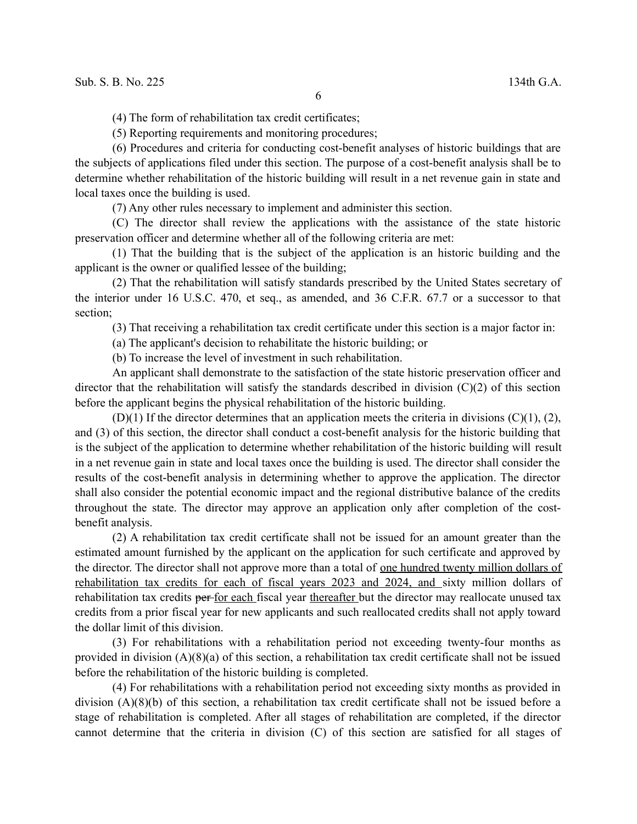(4) The form of rehabilitation tax credit certificates;

(5) Reporting requirements and monitoring procedures;

(6) Procedures and criteria for conducting cost-benefit analyses of historic buildings that are the subjects of applications filed under this section. The purpose of a cost-benefit analysis shall be to determine whether rehabilitation of the historic building will result in a net revenue gain in state and local taxes once the building is used.

(7) Any other rules necessary to implement and administer this section.

(C) The director shall review the applications with the assistance of the state historic preservation officer and determine whether all of the following criteria are met:

(1) That the building that is the subject of the application is an historic building and the applicant is the owner or qualified lessee of the building;

(2) That the rehabilitation will satisfy standards prescribed by the United States secretary of the interior under 16 U.S.C. 470, et seq., as amended, and 36 C.F.R. 67.7 or a successor to that section;

(3) That receiving a rehabilitation tax credit certificate under this section is a major factor in:

(a) The applicant's decision to rehabilitate the historic building; or

(b) To increase the level of investment in such rehabilitation.

An applicant shall demonstrate to the satisfaction of the state historic preservation officer and director that the rehabilitation will satisfy the standards described in division (C)(2) of this section before the applicant begins the physical rehabilitation of the historic building.

 $(D)(1)$  If the director determines that an application meets the criteria in divisions  $(C)(1)$ ,  $(2)$ , and (3) of this section, the director shall conduct a cost-benefit analysis for the historic building that is the subject of the application to determine whether rehabilitation of the historic building will result in a net revenue gain in state and local taxes once the building is used. The director shall consider the results of the cost-benefit analysis in determining whether to approve the application. The director shall also consider the potential economic impact and the regional distributive balance of the credits throughout the state. The director may approve an application only after completion of the costbenefit analysis.

(2) A rehabilitation tax credit certificate shall not be issued for an amount greater than the estimated amount furnished by the applicant on the application for such certificate and approved by the director. The director shall not approve more than a total of one hundred twenty million dollars of rehabilitation tax credits for each of fiscal years 2023 and 2024, and sixty million dollars of rehabilitation tax credits per-for each fiscal year thereafter but the director may reallocate unused tax credits from a prior fiscal year for new applicants and such reallocated credits shall not apply toward the dollar limit of this division.

(3) For rehabilitations with a rehabilitation period not exceeding twenty-four months as provided in division (A)(8)(a) of this section, a rehabilitation tax credit certificate shall not be issued before the rehabilitation of the historic building is completed.

(4) For rehabilitations with a rehabilitation period not exceeding sixty months as provided in division (A)(8)(b) of this section, a rehabilitation tax credit certificate shall not be issued before a stage of rehabilitation is completed. After all stages of rehabilitation are completed, if the director cannot determine that the criteria in division (C) of this section are satisfied for all stages of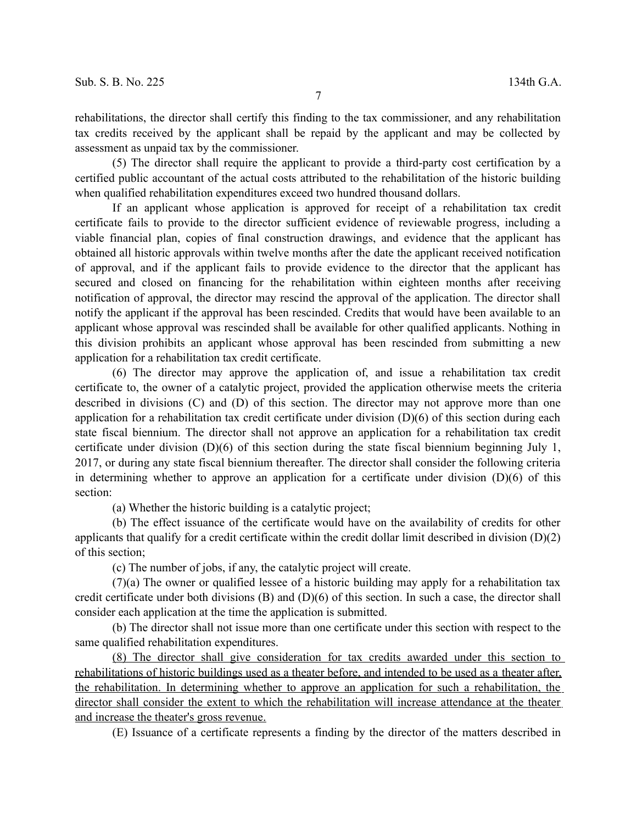rehabilitations, the director shall certify this finding to the tax commissioner, and any rehabilitation tax credits received by the applicant shall be repaid by the applicant and may be collected by assessment as unpaid tax by the commissioner.

(5) The director shall require the applicant to provide a third-party cost certification by a certified public accountant of the actual costs attributed to the rehabilitation of the historic building when qualified rehabilitation expenditures exceed two hundred thousand dollars.

If an applicant whose application is approved for receipt of a rehabilitation tax credit certificate fails to provide to the director sufficient evidence of reviewable progress, including a viable financial plan, copies of final construction drawings, and evidence that the applicant has obtained all historic approvals within twelve months after the date the applicant received notification of approval, and if the applicant fails to provide evidence to the director that the applicant has secured and closed on financing for the rehabilitation within eighteen months after receiving notification of approval, the director may rescind the approval of the application. The director shall notify the applicant if the approval has been rescinded. Credits that would have been available to an applicant whose approval was rescinded shall be available for other qualified applicants. Nothing in this division prohibits an applicant whose approval has been rescinded from submitting a new application for a rehabilitation tax credit certificate.

(6) The director may approve the application of, and issue a rehabilitation tax credit certificate to, the owner of a catalytic project, provided the application otherwise meets the criteria described in divisions (C) and (D) of this section. The director may not approve more than one application for a rehabilitation tax credit certificate under division (D)(6) of this section during each state fiscal biennium. The director shall not approve an application for a rehabilitation tax credit certificate under division (D)(6) of this section during the state fiscal biennium beginning July 1, 2017, or during any state fiscal biennium thereafter. The director shall consider the following criteria in determining whether to approve an application for a certificate under division  $(D)(6)$  of this section:

(a) Whether the historic building is a catalytic project;

(b) The effect issuance of the certificate would have on the availability of credits for other applicants that qualify for a credit certificate within the credit dollar limit described in division (D)(2) of this section;

(c) The number of jobs, if any, the catalytic project will create.

(7)(a) The owner or qualified lessee of a historic building may apply for a rehabilitation tax credit certificate under both divisions  $(B)$  and  $(D)(6)$  of this section. In such a case, the director shall consider each application at the time the application is submitted.

(b) The director shall not issue more than one certificate under this section with respect to the same qualified rehabilitation expenditures.

(8) The director shall give consideration for tax credits awarded under this section to rehabilitations of historic buildings used as a theater before, and intended to be used as a theater after, the rehabilitation. In determining whether to approve an application for such a rehabilitation, the director shall consider the extent to which the rehabilitation will increase attendance at the theater and increase the theater's gross revenue.

(E) Issuance of a certificate represents a finding by the director of the matters described in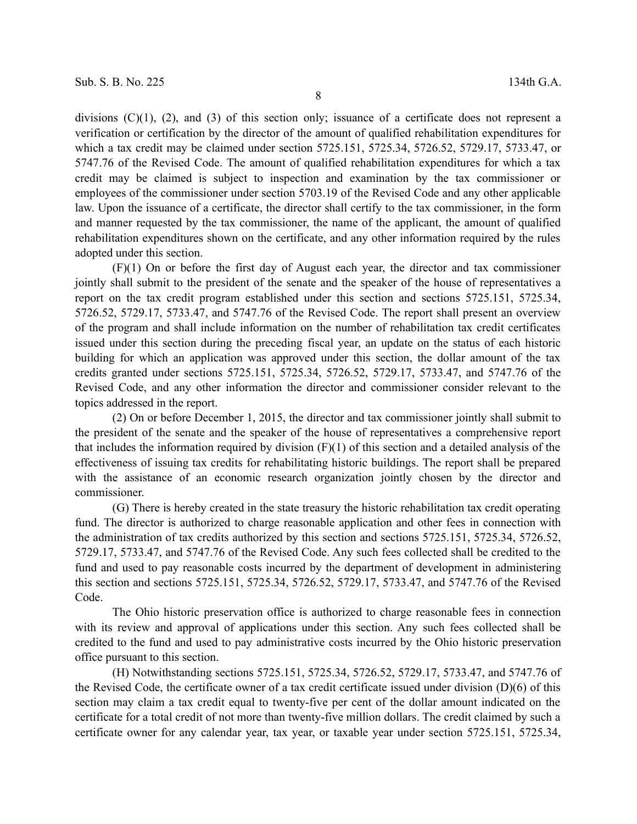divisions  $(C)(1)$ ,  $(2)$ , and  $(3)$  of this section only; issuance of a certificate does not represent a verification or certification by the director of the amount of qualified rehabilitation expenditures for which a tax credit may be claimed under section 5725.151, 5725.34, 5726.52, 5729.17, 5733.47, or 5747.76 of the Revised Code. The amount of qualified rehabilitation expenditures for which a tax credit may be claimed is subject to inspection and examination by the tax commissioner or employees of the commissioner under section 5703.19 of the Revised Code and any other applicable law. Upon the issuance of a certificate, the director shall certify to the tax commissioner, in the form and manner requested by the tax commissioner, the name of the applicant, the amount of qualified rehabilitation expenditures shown on the certificate, and any other information required by the rules adopted under this section.

(F)(1) On or before the first day of August each year, the director and tax commissioner jointly shall submit to the president of the senate and the speaker of the house of representatives a report on the tax credit program established under this section and sections 5725.151, 5725.34, 5726.52, 5729.17, 5733.47, and 5747.76 of the Revised Code. The report shall present an overview of the program and shall include information on the number of rehabilitation tax credit certificates issued under this section during the preceding fiscal year, an update on the status of each historic building for which an application was approved under this section, the dollar amount of the tax credits granted under sections 5725.151, 5725.34, 5726.52, 5729.17, 5733.47, and 5747.76 of the Revised Code, and any other information the director and commissioner consider relevant to the topics addressed in the report.

(2) On or before December 1, 2015, the director and tax commissioner jointly shall submit to the president of the senate and the speaker of the house of representatives a comprehensive report that includes the information required by division  $(F)(1)$  of this section and a detailed analysis of the effectiveness of issuing tax credits for rehabilitating historic buildings. The report shall be prepared with the assistance of an economic research organization jointly chosen by the director and commissioner.

(G) There is hereby created in the state treasury the historic rehabilitation tax credit operating fund. The director is authorized to charge reasonable application and other fees in connection with the administration of tax credits authorized by this section and sections 5725.151, 5725.34, 5726.52, 5729.17, 5733.47, and 5747.76 of the Revised Code. Any such fees collected shall be credited to the fund and used to pay reasonable costs incurred by the department of development in administering this section and sections 5725.151, 5725.34, 5726.52, 5729.17, 5733.47, and 5747.76 of the Revised Code.

The Ohio historic preservation office is authorized to charge reasonable fees in connection with its review and approval of applications under this section. Any such fees collected shall be credited to the fund and used to pay administrative costs incurred by the Ohio historic preservation office pursuant to this section.

(H) Notwithstanding sections 5725.151, 5725.34, 5726.52, 5729.17, 5733.47, and 5747.76 of the Revised Code, the certificate owner of a tax credit certificate issued under division (D)(6) of this section may claim a tax credit equal to twenty-five per cent of the dollar amount indicated on the certificate for a total credit of not more than twenty-five million dollars. The credit claimed by such a certificate owner for any calendar year, tax year, or taxable year under section 5725.151, 5725.34,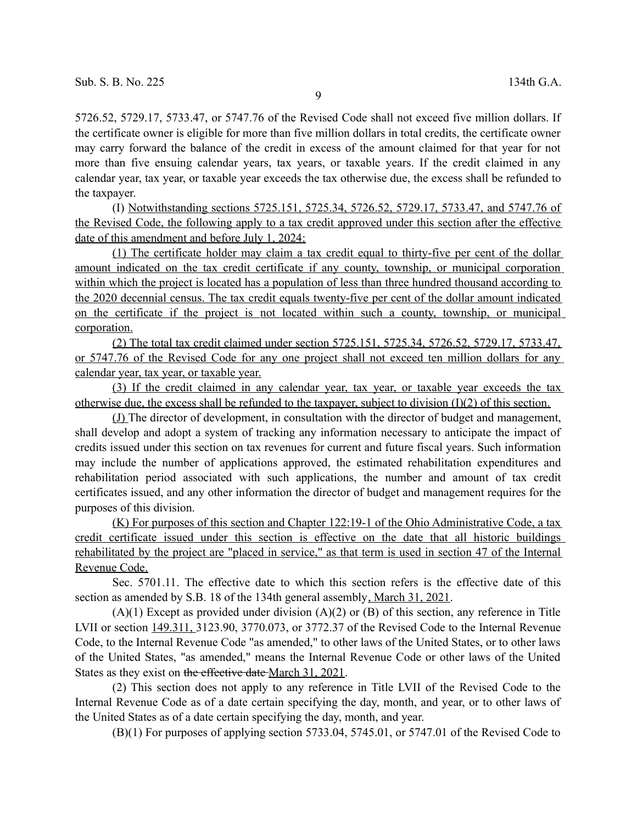5726.52, 5729.17, 5733.47, or 5747.76 of the Revised Code shall not exceed five million dollars. If the certificate owner is eligible for more than five million dollars in total credits, the certificate owner may carry forward the balance of the credit in excess of the amount claimed for that year for not more than five ensuing calendar years, tax years, or taxable years. If the credit claimed in any calendar year, tax year, or taxable year exceeds the tax otherwise due, the excess shall be refunded to the taxpayer.

(I) Notwithstanding sections 5725.151, 5725.34, 5726.52, 5729.17, 5733.47, and 5747.76 of the Revised Code, the following apply to a tax credit approved under this section after the effective date of this amendment and before July 1, 2024:

(1) The certificate holder may claim a tax credit equal to thirty-five per cent of the dollar amount indicated on the tax credit certificate if any county, township, or municipal corporation within which the project is located has a population of less than three hundred thousand according to the 2020 decennial census. The tax credit equals twenty-five per cent of the dollar amount indicated on the certificate if the project is not located within such a county, township, or municipal corporation.

(2) The total tax credit claimed under section 5725.151, 5725.34, 5726.52, 5729.17, 5733.47, or 5747.76 of the Revised Code for any one project shall not exceed ten million dollars for any calendar year, tax year, or taxable year.

(3) If the credit claimed in any calendar year, tax year, or taxable year exceeds the tax otherwise due, the excess shall be refunded to the taxpayer, subject to division  $(I)(2)$  of this section.

(J) The director of development, in consultation with the director of budget and management, shall develop and adopt a system of tracking any information necessary to anticipate the impact of credits issued under this section on tax revenues for current and future fiscal years. Such information may include the number of applications approved, the estimated rehabilitation expenditures and rehabilitation period associated with such applications, the number and amount of tax credit certificates issued, and any other information the director of budget and management requires for the purposes of this division.

(K) For purposes of this section and Chapter 122:19-1 of the Ohio Administrative Code, a tax credit certificate issued under this section is effective on the date that all historic buildings rehabilitated by the project are "placed in service," as that term is used in section 47 of the Internal Revenue Code.

Sec. 5701.11. The effective date to which this section refers is the effective date of this section as amended by S.B. 18 of the 134th general assembly, March 31, 2021.

 $(A)(1)$  Except as provided under division  $(A)(2)$  or  $(B)$  of this section, any reference in Title LVII or section 149.311, 3123.90, 3770.073, or 3772.37 of the Revised Code to the Internal Revenue Code, to the Internal Revenue Code "as amended," to other laws of the United States, or to other laws of the United States, "as amended," means the Internal Revenue Code or other laws of the United States as they exist on the effective date March 31, 2021.

(2) This section does not apply to any reference in Title LVII of the Revised Code to the Internal Revenue Code as of a date certain specifying the day, month, and year, or to other laws of the United States as of a date certain specifying the day, month, and year.

(B)(1) For purposes of applying section 5733.04, 5745.01, or 5747.01 of the Revised Code to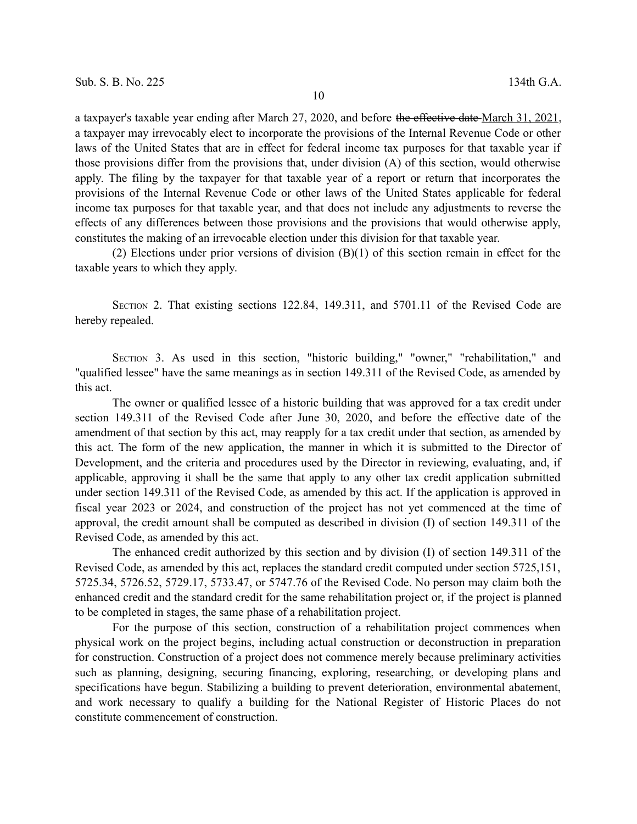a taxpayer's taxable year ending after March 27, 2020, and before the effective date March 31, 2021, a taxpayer may irrevocably elect to incorporate the provisions of the Internal Revenue Code or other laws of the United States that are in effect for federal income tax purposes for that taxable year if those provisions differ from the provisions that, under division (A) of this section, would otherwise apply. The filing by the taxpayer for that taxable year of a report or return that incorporates the provisions of the Internal Revenue Code or other laws of the United States applicable for federal income tax purposes for that taxable year, and that does not include any adjustments to reverse the effects of any differences between those provisions and the provisions that would otherwise apply, constitutes the making of an irrevocable election under this division for that taxable year.

(2) Elections under prior versions of division (B)(1) of this section remain in effect for the taxable years to which they apply.

SECTION 2. That existing sections 122.84, 149.311, and 5701.11 of the Revised Code are hereby repealed.

SECTION 3. As used in this section, "historic building," "owner," "rehabilitation," and "qualified lessee" have the same meanings as in section 149.311 of the Revised Code, as amended by this act.

The owner or qualified lessee of a historic building that was approved for a tax credit under section 149.311 of the Revised Code after June 30, 2020, and before the effective date of the amendment of that section by this act, may reapply for a tax credit under that section, as amended by this act. The form of the new application, the manner in which it is submitted to the Director of Development, and the criteria and procedures used by the Director in reviewing, evaluating, and, if applicable, approving it shall be the same that apply to any other tax credit application submitted under section 149.311 of the Revised Code, as amended by this act. If the application is approved in fiscal year 2023 or 2024, and construction of the project has not yet commenced at the time of approval, the credit amount shall be computed as described in division (I) of section 149.311 of the Revised Code, as amended by this act.

The enhanced credit authorized by this section and by division (I) of section 149.311 of the Revised Code, as amended by this act, replaces the standard credit computed under section 5725,151, 5725.34, 5726.52, 5729.17, 5733.47, or 5747.76 of the Revised Code. No person may claim both the enhanced credit and the standard credit for the same rehabilitation project or, if the project is planned to be completed in stages, the same phase of a rehabilitation project.

For the purpose of this section, construction of a rehabilitation project commences when physical work on the project begins, including actual construction or deconstruction in preparation for construction. Construction of a project does not commence merely because preliminary activities such as planning, designing, securing financing, exploring, researching, or developing plans and specifications have begun. Stabilizing a building to prevent deterioration, environmental abatement, and work necessary to qualify a building for the National Register of Historic Places do not constitute commencement of construction.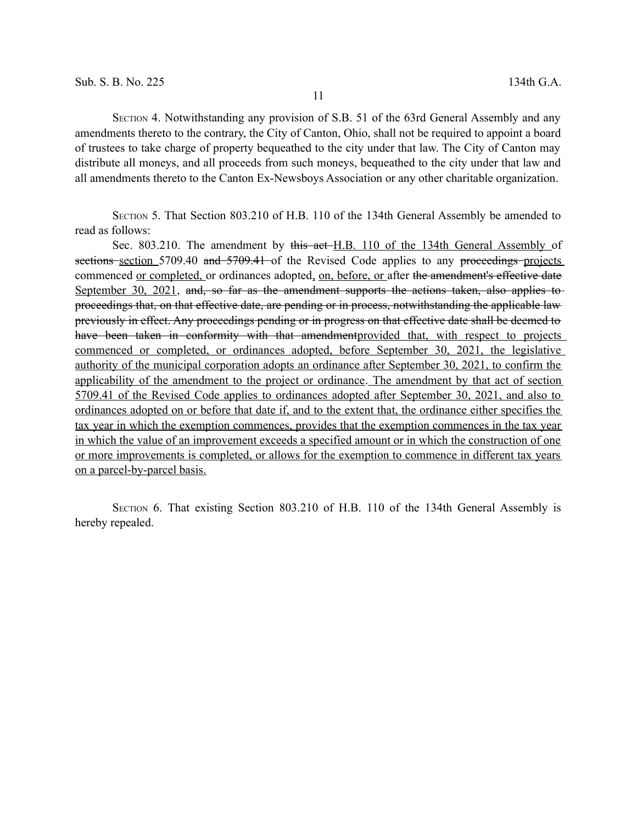SECTION 4. Notwithstanding any provision of S.B. 51 of the 63rd General Assembly and any amendments thereto to the contrary, the City of Canton, Ohio, shall not be required to appoint a board of trustees to take charge of property bequeathed to the city under that law. The City of Canton may distribute all moneys, and all proceeds from such moneys, bequeathed to the city under that law and all amendments thereto to the Canton Ex-Newsboys Association or any other charitable organization.

SECTION 5. That Section 803.210 of H.B. 110 of the 134th General Assembly be amended to read as follows:

Sec. 803.210. The amendment by this act-H.B. 110 of the 134th General Assembly of sections section 5709.40 and 5709.41 of the Revised Code applies to any proceedings projects commenced or completed, or ordinances adopted, on, before, or after the amendment's effective date September 30, 2021, and, so far as the amendment supports the actions taken, also applies to proceedings that, on that effective date, are pending or in process, notwithstanding the applicable law previously in effect. Any proceedings pending or in progress on that effective date shall be deemed to have been taken in conformity with that amendmentprovided that, with respect to projects commenced or completed, or ordinances adopted, before September 30, 2021, the legislative authority of the municipal corporation adopts an ordinance after September 30, 2021, to confirm the applicability of the amendment to the project or ordinance. The amendment by that act of section 5709.41 of the Revised Code applies to ordinances adopted after September 30, 2021, and also to ordinances adopted on or before that date if, and to the extent that, the ordinance either specifies the tax year in which the exemption commences, provides that the exemption commences in the tax year in which the value of an improvement exceeds a specified amount or in which the construction of one or more improvements is completed, or allows for the exemption to commence in different tax years on a parcel-by-parcel basis.

SECTION 6. That existing Section 803.210 of H.B. 110 of the 134th General Assembly is hereby repealed.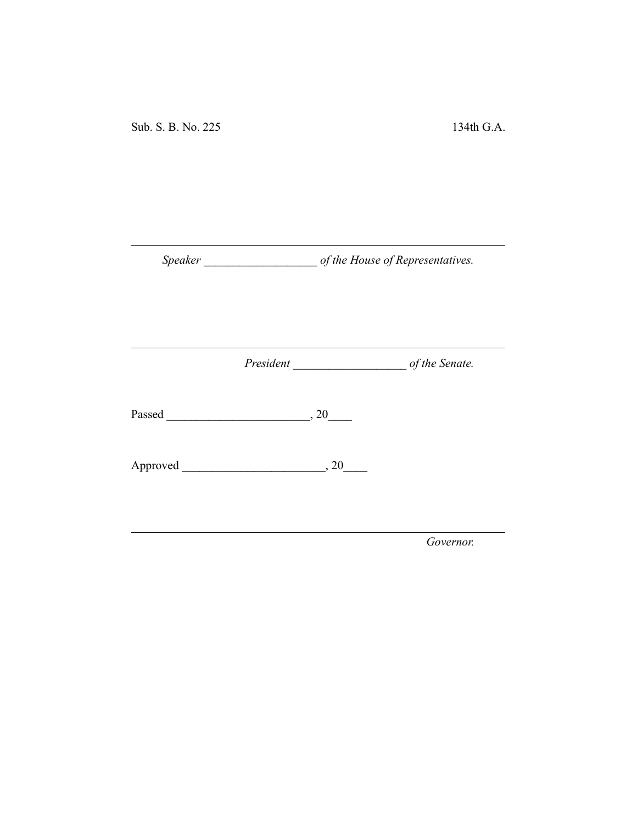Sub. S. B. No. 225 134th G.A.

*Speaker \_\_\_\_\_\_\_\_\_\_\_\_\_\_\_\_\_\_\_ of the House of Representatives.*

*President \_\_\_\_\_\_\_\_\_\_\_\_\_\_\_\_\_\_\_ of the Senate.*

Passed \_\_\_\_\_\_\_\_\_\_\_\_\_\_\_\_\_\_\_\_\_\_\_\_, 20\_\_\_\_

Approved \_\_\_\_\_\_\_\_\_\_\_\_\_\_\_\_\_\_\_\_\_\_\_\_, 20\_\_\_\_

*Governor.*